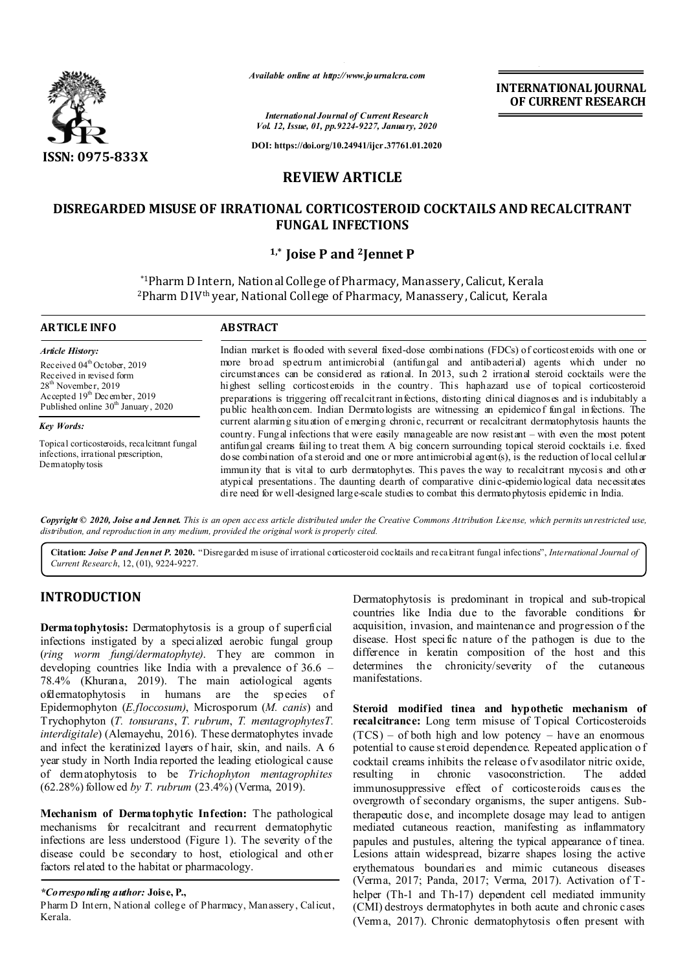

*Available online at http://www.journalcra.com*

**INTERNATIONAL JOURNAL OF CURRENT RESEARCH**

*International Journal of Current Research Vol. 12, Issue, 01, pp.9224-9227, January, 2020*

**DOI: https://doi.org/10.24941/ijcr.37761.01.2020**

# **REVIEW ARTICLE**

# **DISREGARDED MISUSE OF IRRATIONAL CORTICOSTEROID COCKTAILS AND RECALCITRANT FUNGAL INFECTIONS**

## **1,\* Joise P and 2Jennet P**

\*1Pharm D Intern, National College of Pharmacy, Manassery, Calicut, Kerala <sup>2</sup>Pharm D IV<sup>th</sup> year, National College of Pharmacy, Manassery, Calicut, Kerala

#### **ARTICLE INFO ABSTRACT** Indian market is flooded with several fixed-dose combinations (FDCs) of corticosteroids with one or more broad spectrum antimicrobial (antifungal and antibacterial) agents which under no circumstances can be considered as rational. In 2013, such 2 irrational steroid cocktails were the highest selling corticosteroids in the country. This haphazard use of topical corticosteroid preparations is triggering off recalcitrant infections, distorting clinical diagnoses and is indubitably a public healthconcem. Indian Dermatologists are witnessing an epidemicof fungal infections. The current alarming situation of emerging chronic, recurrent or recalcitrant dermatophytosis haunts the country. Fungal infections that were easily manageable are now resistant – with even the most potent antifungal creams failing to treat them. A big concern surrounding topical steroid cocktails i.e. fixed dose combination of a steroid and one or more antimicrobial agent(s), is the reduction of local cellular immunity that is vital to curb dermatophytes. This paves the way to recalcitrant mycosis and other atypical presentations. The daunting dearth of comparative clinic-epidemiological data necessitates *Article History:* Received 04<sup>th</sup> October, 2019 Received in revised form 28<sup>th</sup> November, 2019 Accepted 19<sup>th</sup> December, 2019 Published online 30<sup>th</sup> January, 2020 *Key Words:* Topical corticosteroids, recalcitrant fungal infections, irrational prescription, Dermatophytosis

Copyright © 2020, Joise and Jennet. This is an open access article distributed under the Creative Commons Attribution License, which permits unrestricted use, *distribution, and reproduction in any medium, provided the original work is properly cited.*

dire need for well-designed large-scale studies to combat this dermatophytosis epidemic in India.

**Citation:** *Joise P and Jennet P.* **2020.** "Disregarded m isuse of irrational corticosteroid cocktails and recalcitrant fungal infections", *International Journal of Current Research*, 12, (01), 9224-9227.

## **INTRODUCTION**

**Dermatophytosis:** Dermatophytosis is a group of superficial infections instigated by a specialized aerobic fungal group (*ring worm fungi/dermatophyte)*. They are common in developing countries like India with a prevalence of  $36.6$  – 78.4% (Khurana, 2019). The main aetiological agents ofdermatophytosis in humans are the species of Epidermophyton (*E.floccosum)*, Microsporum (*M. canis*) and Trychophyton (*T. tonsurans*, *T. rubrum*, *T. mentagrophytesT. interdigitale*) (Alemayehu, 2016). These dermatophytes invade and infect the keratinized layers of hair, skin, and nails. A 6 year study in North India reported the leading etiological cause of dermatophytosis to be *Trichophyton mentagrophites* (62.28%) followed *by T. rubrum* (23.4%) (Verma, 2019).

**Mechanism of Dermatophytic Infection:** The pathological mechanisms for recalcitrant and recurrent dermatophytic infections are less understood (Figure 1). The severity of the disease could be secondary to host, etiological and other factors related to the habitat or pharmacology.

## *\*Corresponding author:* **Joise, P.,**

Pharm D Intern, National college of Pharmacy, Manassery, Calicut, Kerala.

Dermatophytosis is predominant in tropical and sub-tropical countries like India due to the favorable conditions for acquisition, invasion, and maintenance and progression o f the disease. Host specific nature of the pathogen is due to the difference in keratin composition of the host and this determines the chronicity/severity of the cutaneous manifestations.

**Steroid modified tinea and hypothetic mechanism of recalcitrance:** Long term misuse of Topical Corticosteroids  $(TCS)$  – of both high and low potency – have an enormous potential to cause steroid dependence. Repeated application o f cocktail creams inhibits the release of v asodilator nitric oxide, resulting in chronic vasoconstriction. The added immunosuppressive effect of corticosteroids causes the overgrowth of secondary organisms, the super antigens. Subtherapeutic dose, and incomplete dosage may lead to antigen mediated cutaneous reaction, manifesting as inflammatory papules and pustules, altering the typical appearance of tinea. Lesions attain widespread, bizarre shapes losing the active erythematous boundaries and mimic cutaneous diseases (Verma, 2017; Panda, 2017; Verma, 2017). Activation of Thelper (Th-1 and Th-17) dependent cell mediated immunity (CMI) destroys dermatophytes in both acute and chronic cases (Verma, 2017). Chronic dermatophytosis often present with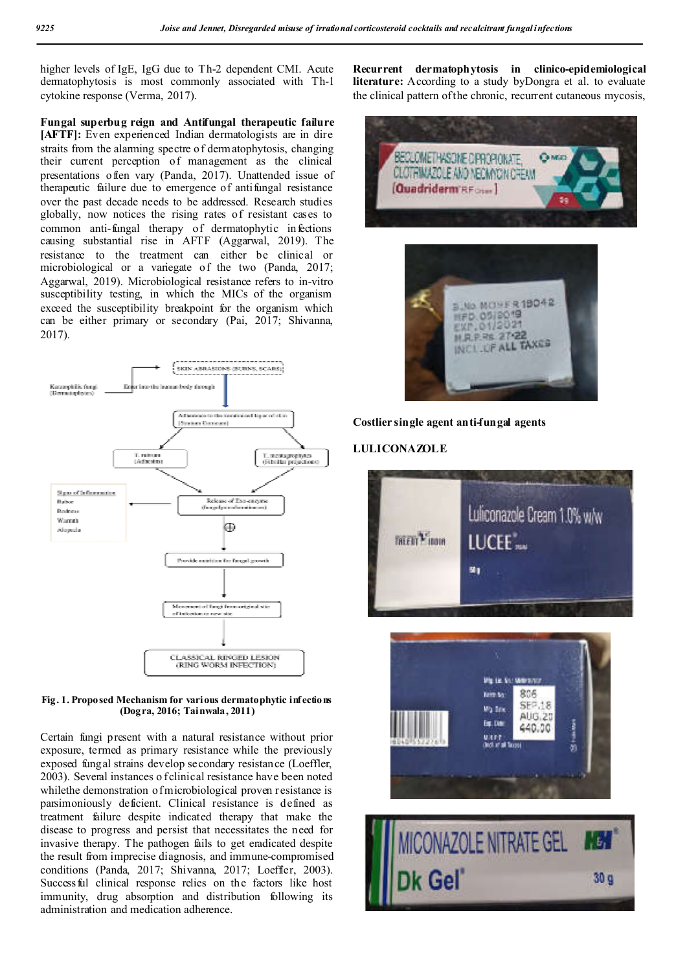higher levels of IgE, IgG due to Th-2 dependent CMI. Acute dermatophytosis is most commonly associated with Th-1 cytokine response (Verma, 2017).

**Fungal superbug reign and Antifungal therapeutic failure [AFTF]:** Even experienced Indian dermatologists are in dire straits from the alarming spectre of dermatophytosis, changing their current perception of management as the clinical presentations often vary (Panda, 2017). Unattended issue of therapeutic failure due to emergence of antifungal resistance over the past decade needs to be addressed. Research studies globally, now notices the rising rates of resistant cases to common anti-fungal therapy of dermatophytic infections causing substantial rise in AFTF (Aggarwal, 2019). The resistance to the treatment can either be clinical or microbiological or a variegate of the two (Panda, 2017; Aggarwal, 2019). Microbiological resistance refers to in-vitro susceptibility testing, in which the MICs of the organism exceed the susceptibility breakpoint for the organism which can be either primary or secondary (Pai, 2017; Shivanna, 2017).





Certain fungi present with a natural resistance without prior exposure, termed as primary resistance while the previously exposed fungal strains develop secondary resistance (Loeffler, 2003). Several instances o f clinical resistance have been noted whilethe demonstration of microbiological proven resistance is parsimoniously deficient. Clinical resistance is defined as treatment failure despite indicated therapy that make the disease to progress and persist that necessitates the need for invasive therapy. The pathogen fails to get eradicated despite the result from imprecise diagnosis, and immune-compromised conditions (Panda, 2017; Shivanna, 2017; Loeffler, 2003). Successful clinical response relies on the factors like host immunity, drug absorption and distribution following its administration and medication adherence.

**Recurrent dermatophytosis in clinico-epidemiological literature:** According to a study byDongra et al. to evaluate the clinical pattern of the chronic, recurrent cutaneous mycosis,







#### **LULICONAZOLE**





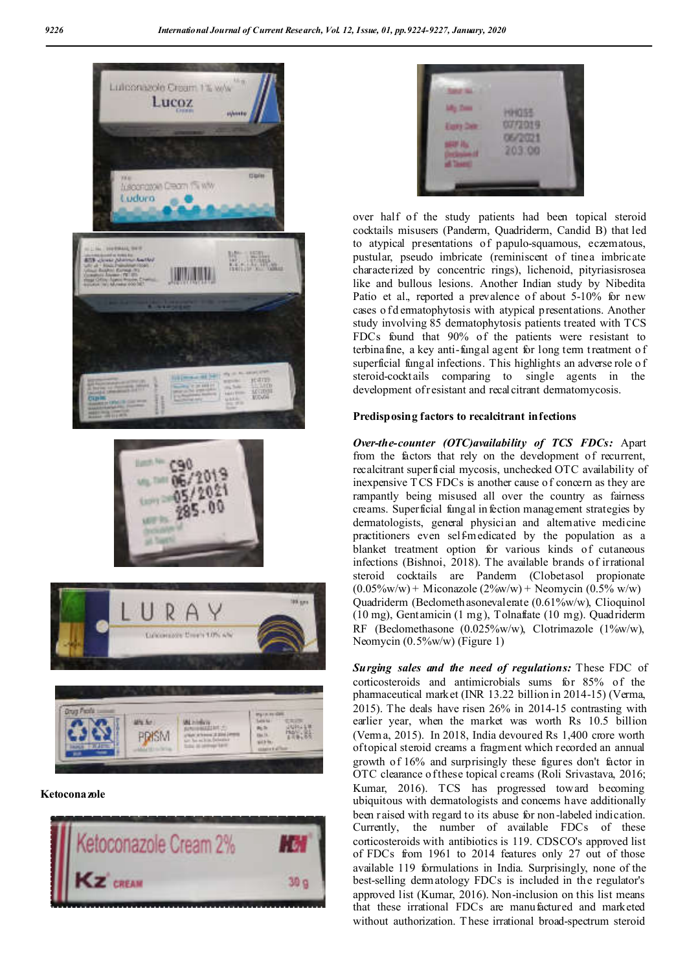







**Ketoconazole**





over half of the study patients had been topical steroid cocktails misusers (Panderm, Quadriderm, Candid B) that led to atypical presentations of papulo-squamous, eczematous, pustular, pseudo imbricate (reminiscent of tinea imbricate characterized by concentric rings), lichenoid, pityriasisrosea like and bullous lesions. Another Indian study by Nibedita Patio et al., reported a prevalence of about 5-10% for new cases o fd ermatophytosis with atypical presentations. Another study involving 85 dermatophytosis patients treated with TCS FDCs found that 90% of the patients were resistant to terbinafine, a key anti-fungal agent for long term treatment o f superficial fungal infections. This highlights an adverse role o f steroid-cocktails comparing to single agents in the development of resistant and recal citrant dermatomycosis.

### **Predisposing factors to recalcitrant infections**

*Over-the-counter (OTC)availability of TCS FDCs:* Apart from the factors that rely on the development of recurrent, recalcitrant superficial mycosis, unchecked OTC availability of inexpensive T CS FDCs is another cause of concern as they are rampantly being misused all over the country as fairness creams. Superficial fungal in fection management strategies by dermatologists, general physician and alternative medicine practitioners even self-medicated by the population as a blanket treatment option for various kinds of cutaneous infections (Bishnoi, 2018). The available brands of irrational steroid cocktails are Panderm (Clobetasol propionate  $(0.05\% \text{w/w}) + \text{Miconazole} (2\% \text{w/w}) + \text{Neomycin} (0.5\% \text{w/w})$ Quadriderm (Beclomethasonevalerate (0.61%w/w), Clioquinol (10 mg), Gentamicin (1 mg), Tolnaftate (10 mg). Quadriderm RF (Beclomethasone (0.025%w/w), Clotrimazole (1%w/w), Neomycin (0.5%w/w) (Figure 1)

*Surging sales and the need of regulations:* These FDC of corticosteroids and antimicrobials sums for 85% of the pharmaceutical market (INR 13.22 billion in 2014-15) (Verma, 2015). The deals have risen 26% in 2014-15 contrasting with earlier year, when the market was worth Rs 10.5 billion (Verma, 2015). In 2018, India devoured Rs 1,400 crore worth of topical steroid creams a fragment which recorded an annual growth of 16% and surprisingly these figures don't factor in OTC clearance of these topical creams (Roli Srivastava, 2016; Kumar, 2016). TCS has progressed toward becoming ubiquitous with dermatologists and concerns have additionally been raised with regard to its abuse for non-labeled indication. Currently, the number of available FDCs of these corticosteroids with antibiotics is 119. CDSCO's approved list of FDCs from 1961 to 2014 features only 27 out of those available 119 formulations in India. Surprisingly, none of the best-selling dermatology FDCs is included in the regulator's approved list (Kumar, 2016). Non-inclusion on this list means that these irrational FDCs are manufactured and marketed without authorization. T hese irrational broad-spectrum steroid